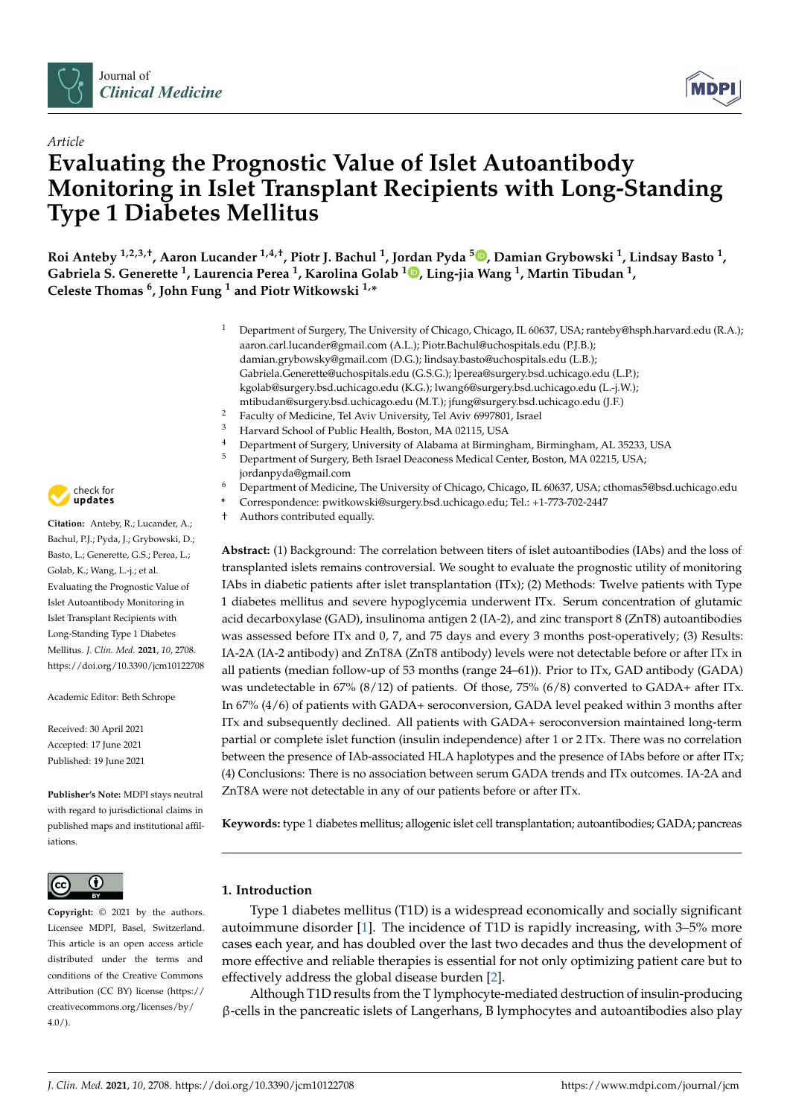



# *Article* **Evaluating the Prognostic Value of Islet Autoantibody Monitoring in Islet Transplant Recipients with Long-Standing Type 1 Diabetes Mellitus**

**Roi Anteby 1,2,3,†, Aaron Lucander 1,4,†, Piotr J. Bachul <sup>1</sup> , Jordan Pyda <sup>5</sup> [,](https://orcid.org/0000-0002-2833-3953) Damian Grybowski <sup>1</sup> , Lindsay Basto <sup>1</sup> , Gabriela S. Generette <sup>1</sup> , Laurencia Perea <sup>1</sup> , Karolina Golab <sup>1</sup> [,](https://orcid.org/0000-0002-2157-8763) Ling-jia Wang <sup>1</sup> , Martin Tibudan <sup>1</sup> , Celeste Thomas <sup>6</sup> , John Fung <sup>1</sup> and Piotr Witkowski 1,\***

- <sup>1</sup> Department of Surgery, The University of Chicago, Chicago, IL 60637, USA; ranteby@hsph.harvard.edu (R.A.); aaron.carl.lucander@gmail.com (A.L.); Piotr.Bachul@uchospitals.edu (P.J.B.); damian.grybowsky@gmail.com (D.G.); lindsay.basto@uchospitals.edu (L.B.); Gabriela.Generette@uchospitals.edu (G.S.G.); lperea@surgery.bsd.uchicago.edu (L.P.); kgolab@surgery.bsd.uchicago.edu (K.G.); lwang6@surgery.bsd.uchicago.edu (L.-j.W.); mtibudan@surgery.bsd.uchicago.edu (M.T.); jfung@surgery.bsd.uchicago.edu (J.F.) <sup>2</sup> Faculty of Medicine, Tel Aviv University, Tel Aviv 6997801, Israel
	-
- $\frac{3}{4}$  Harvard School of Public Health, Boston, MA 02115, USA
- <sup>4</sup> Department of Surgery, University of Alabama at Birmingham, Birmingham, AL 35233, USA<br><sup>5</sup> Department of Surgery, Beth Israel Deaconess Medical Center, Boston, MA 02215, USA
- <sup>5</sup> Department of Surgery, Beth Israel Deaconess Medical Center, Boston, MA 02215, USA; jordanpyda@gmail.com
- <sup>6</sup> Department of Medicine, The University of Chicago, Chicago, IL 60637, USA; cthomas5@bsd.uchicago.edu
- **\*** Correspondence: pwitkowski@surgery.bsd.uchicago.edu; Tel.: +1-773-702-2447
- † Authors contributed equally.

**Abstract:** (1) Background: The correlation between titers of islet autoantibodies (IAbs) and the loss of transplanted islets remains controversial. We sought to evaluate the prognostic utility of monitoring IAbs in diabetic patients after islet transplantation (ITx); (2) Methods: Twelve patients with Type 1 diabetes mellitus and severe hypoglycemia underwent ITx. Serum concentration of glutamic acid decarboxylase (GAD), insulinoma antigen 2 (IA-2), and zinc transport 8 (ZnT8) autoantibodies was assessed before ITx and 0, 7, and 75 days and every 3 months post-operatively; (3) Results: IA-2A (IA-2 antibody) and ZnT8A (ZnT8 antibody) levels were not detectable before or after ITx in all patients (median follow-up of 53 months (range 24–61)). Prior to ITx, GAD antibody (GADA) was undetectable in 67% (8/12) of patients. Of those, 75% (6/8) converted to GADA+ after ITx. In 67% (4/6) of patients with GADA+ seroconversion, GADA level peaked within 3 months after ITx and subsequently declined. All patients with GADA+ seroconversion maintained long-term partial or complete islet function (insulin independence) after 1 or 2 ITx. There was no correlation between the presence of IAb-associated HLA haplotypes and the presence of IAbs before or after ITx; (4) Conclusions: There is no association between serum GADA trends and ITx outcomes. IA-2A and ZnT8A were not detectable in any of our patients before or after ITx.

**Keywords:** type 1 diabetes mellitus; allogenic islet cell transplantation; autoantibodies; GADA; pancreas

# **1. Introduction**

Type 1 diabetes mellitus (T1D) is a widespread economically and socially significant autoimmune disorder [\[1\]](#page-8-0). The incidence of T1D is rapidly increasing, with 3–5% more cases each year, and has doubled over the last two decades and thus the development of more effective and reliable therapies is essential for not only optimizing patient care but to effectively address the global disease burden [\[2\]](#page-8-1).

Although T1D results from the T lymphocyte-mediated destruction of insulin-producing β-cells in the pancreatic islets of Langerhans, B lymphocytes and autoantibodies also play



**Citation:** Anteby, R.; Lucander, A.; Bachul, P.J.; Pyda, J.; Grybowski, D.; Basto, L.; Generette, G.S.; Perea, L.; Golab, K.; Wang, L.-j.; et al. Evaluating the Prognostic Value of Islet Autoantibody Monitoring in Islet Transplant Recipients with Long-Standing Type 1 Diabetes Mellitus. *J. Clin. Med.* **2021**, *10*, 2708. <https://doi.org/10.3390/jcm10122708>

Academic Editor: Beth Schrope

Received: 30 April 2021 Accepted: 17 June 2021 Published: 19 June 2021

**Publisher's Note:** MDPI stays neutral with regard to jurisdictional claims in published maps and institutional affiliations.



**Copyright:** © 2021 by the authors. Licensee MDPI, Basel, Switzerland. This article is an open access article distributed under the terms and conditions of the Creative Commons Attribution (CC BY) license (https:/[/](https://creativecommons.org/licenses/by/4.0/) [creativecommons.org/licenses/by/](https://creativecommons.org/licenses/by/4.0/)  $4.0/$ ).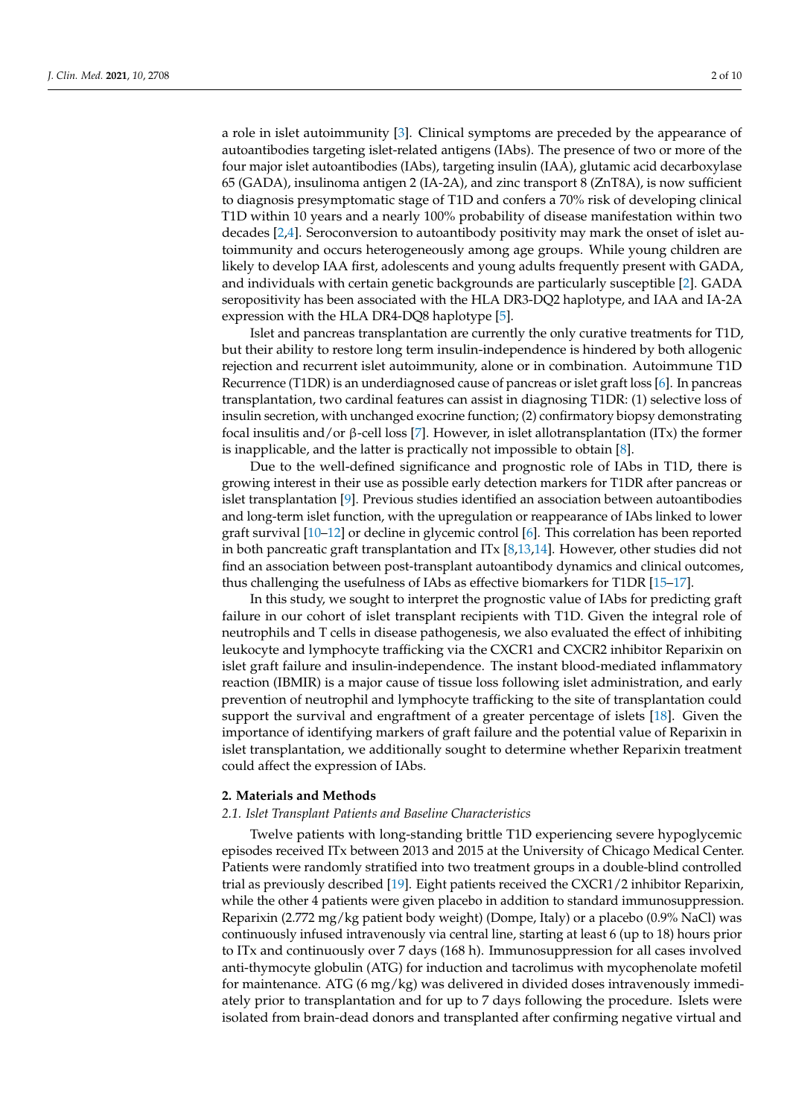a role in islet autoimmunity [\[3\]](#page-8-2). Clinical symptoms are preceded by the appearance of autoantibodies targeting islet-related antigens (IAbs). The presence of two or more of the four major islet autoantibodies (IAbs), targeting insulin (IAA), glutamic acid decarboxylase 65 (GADA), insulinoma antigen 2 (IA-2A), and zinc transport 8 (ZnT8A), is now sufficient to diagnosis presymptomatic stage of T1D and confers a 70% risk of developing clinical T1D within 10 years and a nearly 100% probability of disease manifestation within two decades [\[2](#page-8-1)[,4\]](#page-8-3). Seroconversion to autoantibody positivity may mark the onset of islet autoimmunity and occurs heterogeneously among age groups. While young children are likely to develop IAA first, adolescents and young adults frequently present with GADA, and individuals with certain genetic backgrounds are particularly susceptible [\[2\]](#page-8-1). GADA seropositivity has been associated with the HLA DR3-DQ2 haplotype, and IAA and IA-2A expression with the HLA DR4-DQ8 haplotype [\[5\]](#page-8-4).

Islet and pancreas transplantation are currently the only curative treatments for T1D, but their ability to restore long term insulin-independence is hindered by both allogenic rejection and recurrent islet autoimmunity, alone or in combination. Autoimmune T1D Recurrence (T1DR) is an underdiagnosed cause of pancreas or islet graft loss [\[6\]](#page-8-5). In pancreas transplantation, two cardinal features can assist in diagnosing T1DR: (1) selective loss of insulin secretion, with unchanged exocrine function; (2) confirmatory biopsy demonstrating focal insulitis and/or β-cell loss [\[7\]](#page-8-6). However, in islet allotransplantation (ITx) the former is inapplicable, and the latter is practically not impossible to obtain [\[8\]](#page-8-7).

Due to the well-defined significance and prognostic role of IAbs in T1D, there is growing interest in their use as possible early detection markers for T1DR after pancreas or islet transplantation [\[9\]](#page-8-8). Previous studies identified an association between autoantibodies and long-term islet function, with the upregulation or reappearance of IAbs linked to lower graft survival [\[10–](#page-8-9)[12\]](#page-8-10) or decline in glycemic control [\[6\]](#page-8-5). This correlation has been reported in both pancreatic graft transplantation and ITx [\[8](#page-8-7)[,13,](#page-8-11)[14\]](#page-8-12). However, other studies did not find an association between post-transplant autoantibody dynamics and clinical outcomes, thus challenging the usefulness of IAbs as effective biomarkers for T1DR [\[15–](#page-8-13)[17\]](#page-9-0).

In this study, we sought to interpret the prognostic value of IAbs for predicting graft failure in our cohort of islet transplant recipients with T1D. Given the integral role of neutrophils and T cells in disease pathogenesis, we also evaluated the effect of inhibiting leukocyte and lymphocyte trafficking via the CXCR1 and CXCR2 inhibitor Reparixin on islet graft failure and insulin-independence. The instant blood-mediated inflammatory reaction (IBMIR) is a major cause of tissue loss following islet administration, and early prevention of neutrophil and lymphocyte trafficking to the site of transplantation could support the survival and engraftment of a greater percentage of islets [\[18\]](#page-9-1). Given the importance of identifying markers of graft failure and the potential value of Reparixin in islet transplantation, we additionally sought to determine whether Reparixin treatment could affect the expression of IAbs.

#### **2. Materials and Methods**

#### *2.1. Islet Transplant Patients and Baseline Characteristics*

Twelve patients with long-standing brittle T1D experiencing severe hypoglycemic episodes received ITx between 2013 and 2015 at the University of Chicago Medical Center. Patients were randomly stratified into two treatment groups in a double-blind controlled trial as previously described [\[19\]](#page-9-2). Eight patients received the CXCR1/2 inhibitor Reparixin, while the other 4 patients were given placebo in addition to standard immunosuppression. Reparixin (2.772 mg/kg patient body weight) (Dompe, Italy) or a placebo (0.9% NaCl) was continuously infused intravenously via central line, starting at least 6 (up to 18) hours prior to ITx and continuously over 7 days (168 h). Immunosuppression for all cases involved anti-thymocyte globulin (ATG) for induction and tacrolimus with mycophenolate mofetil for maintenance. ATG (6 mg/kg) was delivered in divided doses intravenously immediately prior to transplantation and for up to 7 days following the procedure. Islets were isolated from brain-dead donors and transplanted after confirming negative virtual and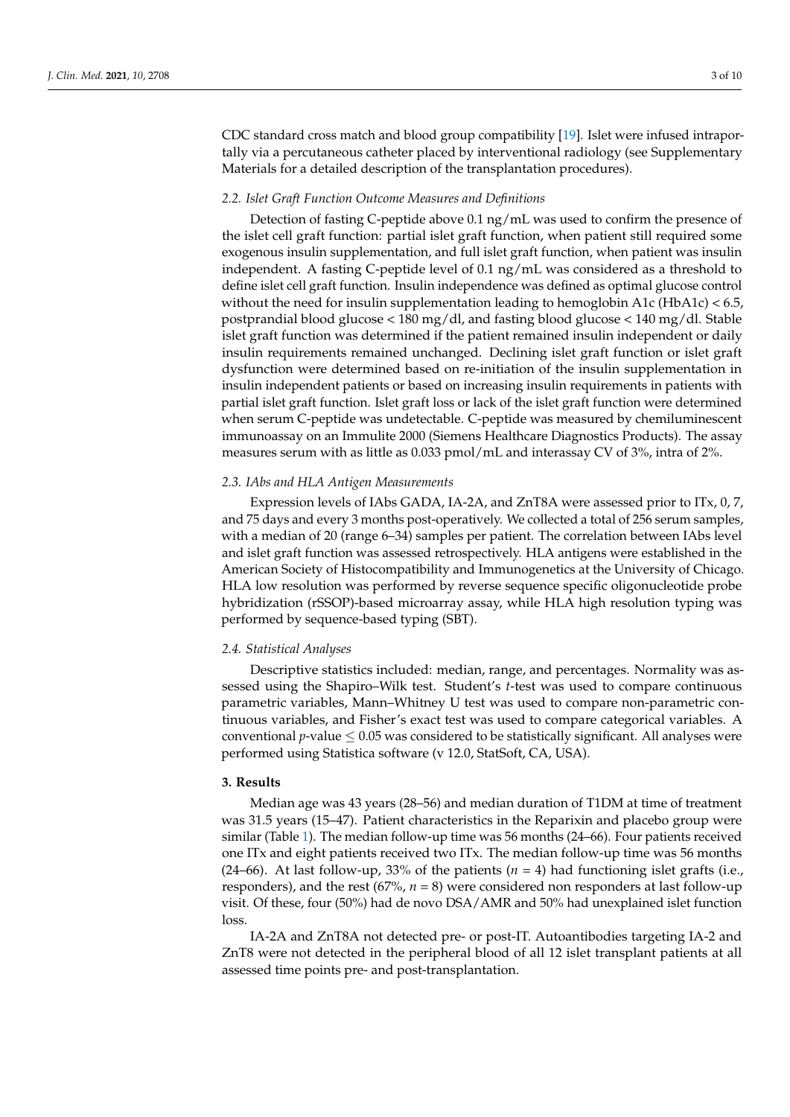CDC standard cross match and blood group compatibility [\[19\]](#page-9-2). Islet were infused intraportally via a percutaneous catheter placed by interventional radiology (see Supplementary Materials for a detailed description of the transplantation procedures).

#### *2.2. Islet Graft Function Outcome Measures and Definitions*

Detection of fasting C-peptide above 0.1 ng/mL was used to confirm the presence of the islet cell graft function: partial islet graft function, when patient still required some exogenous insulin supplementation, and full islet graft function, when patient was insulin independent. A fasting C-peptide level of 0.1 ng/mL was considered as a threshold to define islet cell graft function. Insulin independence was defined as optimal glucose control without the need for insulin supplementation leading to hemoglobin A1c (HbA1c)  $< 6.5$ , postprandial blood glucose < 180 mg/dl, and fasting blood glucose < 140 mg/dl. Stable islet graft function was determined if the patient remained insulin independent or daily insulin requirements remained unchanged. Declining islet graft function or islet graft dysfunction were determined based on re-initiation of the insulin supplementation in insulin independent patients or based on increasing insulin requirements in patients with partial islet graft function. Islet graft loss or lack of the islet graft function were determined when serum C-peptide was undetectable. C-peptide was measured by chemiluminescent immunoassay on an Immulite 2000 (Siemens Healthcare Diagnostics Products). The assay measures serum with as little as 0.033 pmol/mL and interassay CV of 3%, intra of 2%.

#### *2.3. IAbs and HLA Antigen Measurements*

Expression levels of IAbs GADA, IA-2A, and ZnT8A were assessed prior to ITx, 0, 7, and 75 days and every 3 months post-operatively. We collected a total of 256 serum samples, with a median of 20 (range 6–34) samples per patient. The correlation between IAbs level and islet graft function was assessed retrospectively. HLA antigens were established in the American Society of Histocompatibility and Immunogenetics at the University of Chicago. HLA low resolution was performed by reverse sequence specific oligonucleotide probe hybridization (rSSOP)-based microarray assay, while HLA high resolution typing was performed by sequence-based typing (SBT).

#### *2.4. Statistical Analyses*

Descriptive statistics included: median, range, and percentages. Normality was assessed using the Shapiro–Wilk test. Student's *t*-test was used to compare continuous parametric variables, Mann–Whitney U test was used to compare non-parametric continuous variables, and Fisher's exact test was used to compare categorical variables. A conventional  $p$ -value  $\leq 0.05$  was considered to be statistically significant. All analyses were performed using Statistica software (v 12.0, StatSoft, CA, USA).

## **3. Results**

Median age was 43 years (28–56) and median duration of T1DM at time of treatment was 31.5 years (15–47). Patient characteristics in the Reparixin and placebo group were similar (Table [1\)](#page-3-0). The median follow-up time was 56 months (24–66). Four patients received one ITx and eight patients received two ITx. The median follow-up time was 56 months (24–66). At last follow-up, 33% of the patients  $(n = 4)$  had functioning islet grafts (i.e., responders), and the rest (67%, *n* = 8) were considered non responders at last follow-up visit. Of these, four (50%) had de novo DSA/AMR and 50% had unexplained islet function loss.

IA-2A and ZnT8A not detected pre- or post-IT. Autoantibodies targeting IA-2 and ZnT8 were not detected in the peripheral blood of all 12 islet transplant patients at all assessed time points pre- and post-transplantation.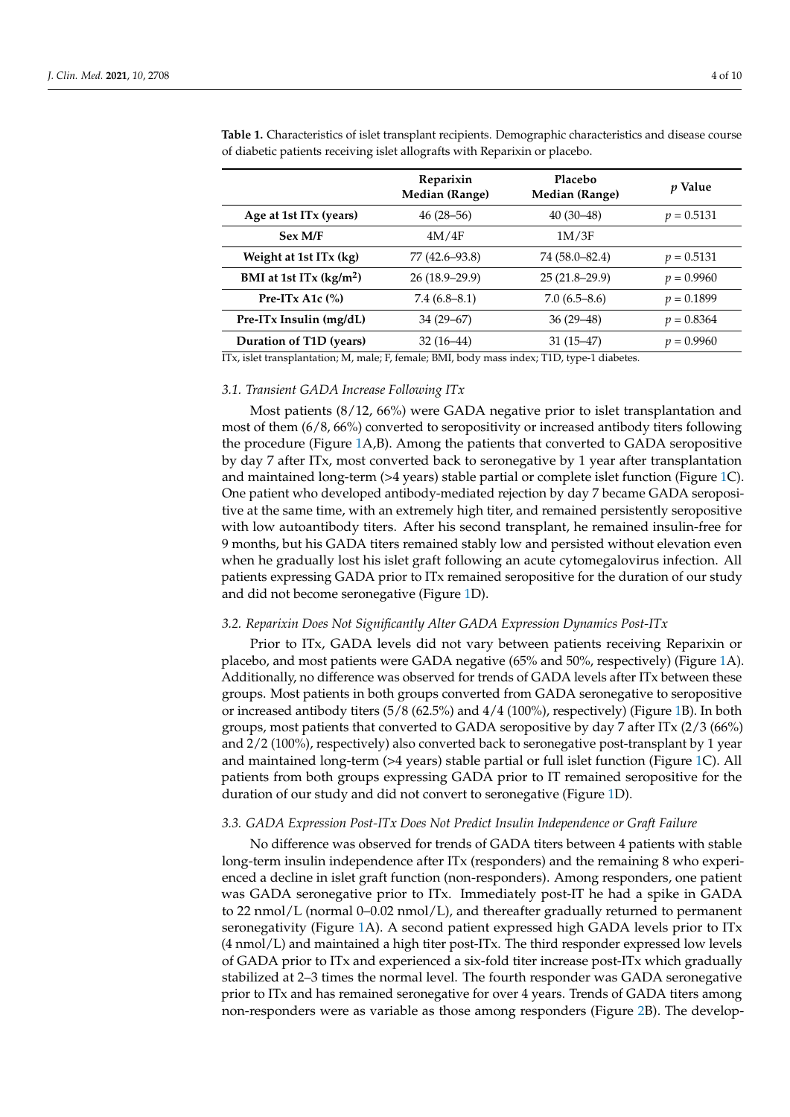|                           | Reparixin<br>Median (Range) | Placebo<br>Median (Range) | <i>p</i> Value |
|---------------------------|-----------------------------|---------------------------|----------------|
| Age at 1st ITx (years)    | $46(28-56)$                 | $40(30-48)$               | $p = 0.5131$   |
| Sex M/F                   | 4M/4F                       | 1M/3F                     |                |
| Weight at 1st ITx (kg)    | 77 (42.6–93.8)              | 74 (58.0–82.4)            | $p = 0.5131$   |
| BMI at 1st ITx $(kg/m2)$  | $26(18.9-29.9)$             | $25(21.8-29.9)$           | $p = 0.9960$   |
| Pre-ITx A1c $(%)$         | 7.4(6.8–8.1)                | $7.0(6.5-8.6)$            | $p = 0.1899$   |
| $Pre-ITx$ Insulin (mg/dL) | $34(29-67)$                 | $36(29-48)$               | $p = 0.8364$   |
| Duration of T1D (years)   | $32(16-44)$                 | $31(15-47)$               | $p = 0.9960$   |

<span id="page-3-0"></span>**Table 1.** Characteristics of islet transplant recipients. Demographic characteristics and disease course of diabetic patients receiving islet allografts with Reparixin or placebo.

ITx, islet transplantation; M, male; F, female; BMI, body mass index; T1D, type-1 diabetes.

#### *3.1. Transient GADA Increase Following ITx*

Most patients (8/12, 66%) were GADA negative prior to islet transplantation and most of them (6/8, 66%) converted to seropositivity or increased antibody titers following the procedure (Figure [1A](#page-4-0),B). Among the patients that converted to GADA seropositive by day 7 after ITx, most converted back to seronegative by 1 year after transplantation and maintained long-term (>4 years) stable partial or complete islet function (Figure [1C](#page-4-0)). One patient who developed antibody-mediated rejection by day 7 became GADA seropositive at the same time, with an extremely high titer, and remained persistently seropositive with low autoantibody titers. After his second transplant, he remained insulin-free for 9 months, but his GADA titers remained stably low and persisted without elevation even when he gradually lost his islet graft following an acute cytomegalovirus infection. All patients expressing GADA prior to ITx remained seropositive for the duration of our study and did not become seronegative (Figure [1D](#page-4-0)).

#### *3.2. Reparixin Does Not Significantly Alter GADA Expression Dynamics Post-ITx*

Prior to ITx, GADA levels did not vary between patients receiving Reparixin or placebo, and most patients were GADA negative (65% and 50%, respectively) (Figure [1A](#page-4-0)). Additionally, no difference was observed for trends of GADA levels after ITx between these groups. Most patients in both groups converted from GADA seronegative to seropositive or increased antibody titers (5/8 (62.5%) and 4/4 (100%), respectively) (Figure [1B](#page-4-0)). In both groups, most patients that converted to GADA seropositive by day 7 after IT $x$  (2/3 (66%) and 2/2 (100%), respectively) also converted back to seronegative post-transplant by 1 year and maintained long-term (>4 years) stable partial or full islet function (Figure [1C](#page-4-0)). All patients from both groups expressing GADA prior to IT remained seropositive for the duration of our study and did not convert to seronegative (Figure [1D](#page-4-0)).

#### *3.3. GADA Expression Post-ITx Does Not Predict Insulin Independence or Graft Failure*

No difference was observed for trends of GADA titers between 4 patients with stable long-term insulin independence after ITx (responders) and the remaining 8 who experienced a decline in islet graft function (non-responders). Among responders, one patient was GADA seronegative prior to ITx. Immediately post-IT he had a spike in GADA to 22 nmol/L (normal 0–0.02 nmol/L), and thereafter gradually returned to permanent seronegativity (Figure [1A](#page-4-0)). A second patient expressed high GADA levels prior to ITx (4 nmol/L) and maintained a high titer post-ITx. The third responder expressed low levels of GADA prior to ITx and experienced a six-fold titer increase post-ITx which gradually stabilized at 2–3 times the normal level. The fourth responder was GADA seronegative prior to ITx and has remained seronegative for over 4 years. Trends of GADA titers among non-responders were as variable as those among responders (Figure [2B](#page-5-0)). The develop-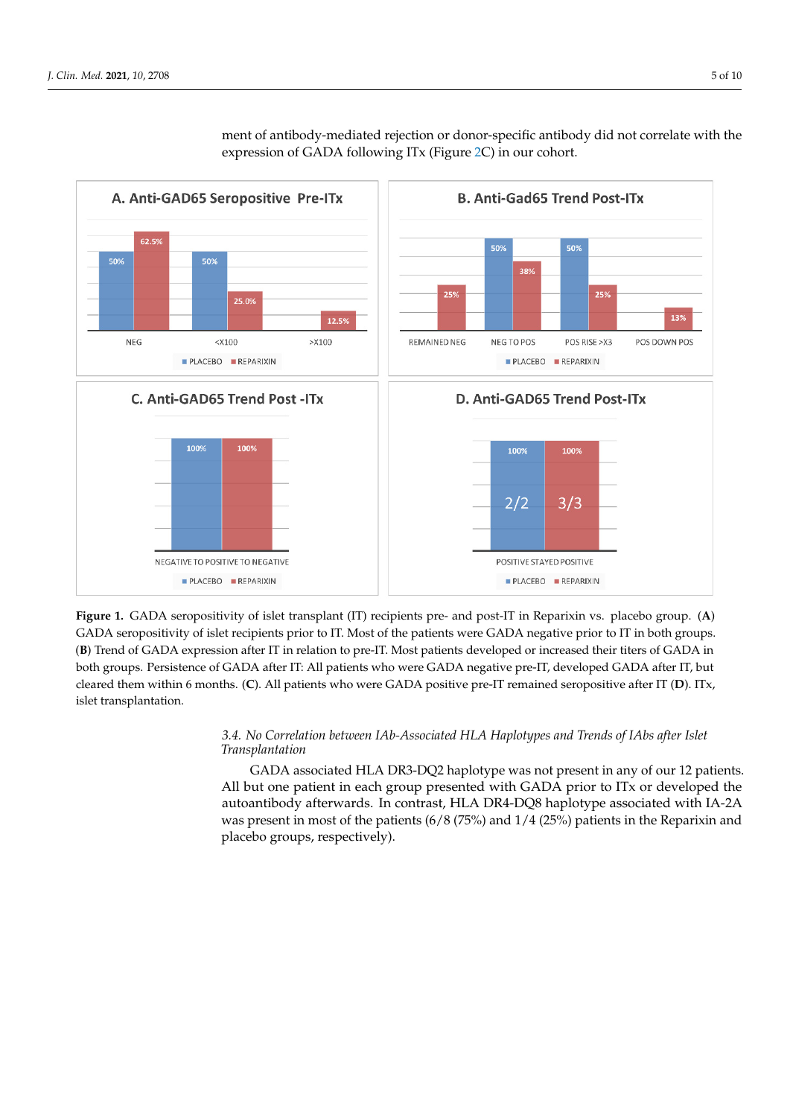<span id="page-4-0"></span>

ment of antibody-mediated rejection or donor-specific antibody did not correlate with the expression of GADA following ITx (Figure [2C](#page-5-0)) in our cohort.

**Figure 1.** GADA seropositivity of islet transplant (IT) recipients pre- and post-IT in Reparixin vs. placebo group. (**A**) GADA seropositivity of islet recipients prior to IT. Most of the patients were GADA negative prior to IT in both groups. (**B**) Trend of GADA expression after IT in relation to pre-IT. Most patients developed or increased their titers of GADA in both groups. Persistence of GADA after IT: All patients who were GADA negative pre-IT, developed GADA after IT, but cleared them within 6 months. (**C**). All patients who were GADA positive pre-IT remained seropositive after IT (**D**). ITx, islet transplantation.

## *3.4. No Correlation between IAb-Associated HLA Haplotypes and Trends of IAbs after Islet Transplantation*

GADA associated HLA DR3-DQ2 haplotype was not present in any of our 12 patients. All but one patient in each group presented with GADA prior to ITx or developed the autoantibody afterwards. In contrast, HLA DR4-DQ8 haplotype associated with IA-2A was present in most of the patients  $(6/8)$  (75%) and  $1/4$  (25%) patients in the Reparixin and placebo groups, respectively).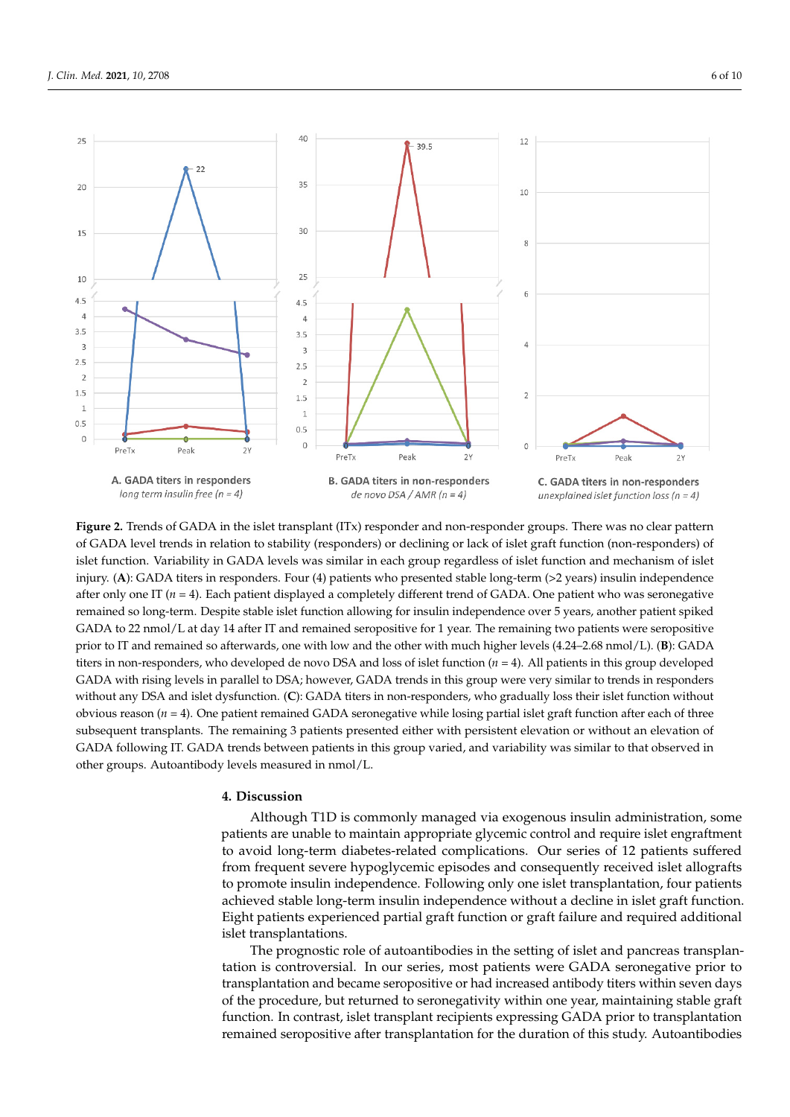<span id="page-5-0"></span>

sion of GADA following ITx (Figure 2C) in our cohort.

**Figure 2.** Trends of GADA in the islet transplant (ITx) responder and non-responder groups. There was no clear pattern of GADA level trends in relation to stability (responders) or declining or lack of islet graft function (non-responders) of islet function. Variability in GADA levels was similar in each group regardless of islet function and mechanism of islet injury. (**A**): GADA titers in responders. Four (4) patients who presented stable long-term (>2 years) insulin independence after only one IT  $(n = 4)$ . Each patient displayed a completely different trend of GADA. One patient who was seronegative remained so long-term. Despite stable islet function allowing for insulin independence over 5 years, another patient spiked GADA to 22 nmol/L at day 14 after IT and remained seropositive for 1 year. The remaining two patients were seropositive prior to IT and remained so afterwards, one with low and the other with much higher levels (4.24–2.68 nmol/L). (**B**): GADA titers in non-responders, who developed de novo DSA and loss of islet function (*n* = 4). All patients in this group developed GADA with rising levels in parallel to DSA; however, GADA trends in this group were very similar to trends in responders without any DSA and islet dysfunction. (**C**): GADA titers in non-responders, who gradually loss their islet function without obvious reason ( $n = 4$ ). One patient remained GADA seronegative while losing partial islet graft function after each of three subsequent transplants. The remaining 3 patients presented either with persistent elevation or without an elevation of GADA following IT. GADA trends between patients in this group varied, and variability was similar to that observed in other groups. Autoantibody levels measured in nmol/L.

## **4. Discussion**

Although T1D is commonly managed via exogenous insulin administration, some patients are unable to maintain appropriate glycemic control and require islet engraftment to avoid long-term diabetes-related complications. Our series of 12 patients suffered from frequent severe hypoglycemic episodes and consequently received islet allografts to promote insulin independence. Following only one islet transplantation, four patients achieved stable long-term insulin independence without a decline in islet graft function. Eight patients experienced partial graft function or graft failure and required additional islet transplantations.

The prognostic role of autoantibodies in the setting of islet and pancreas transplantation is controversial. In our series, most patients were GADA seronegative prior to transplantation and became seropositive or had increased antibody titers within seven days of the procedure, but returned to seronegativity within one year, maintaining stable graft function. In contrast, islet transplant recipients expressing GADA prior to transplantation remained seropositive after transplantation for the duration of this study. Autoantibodies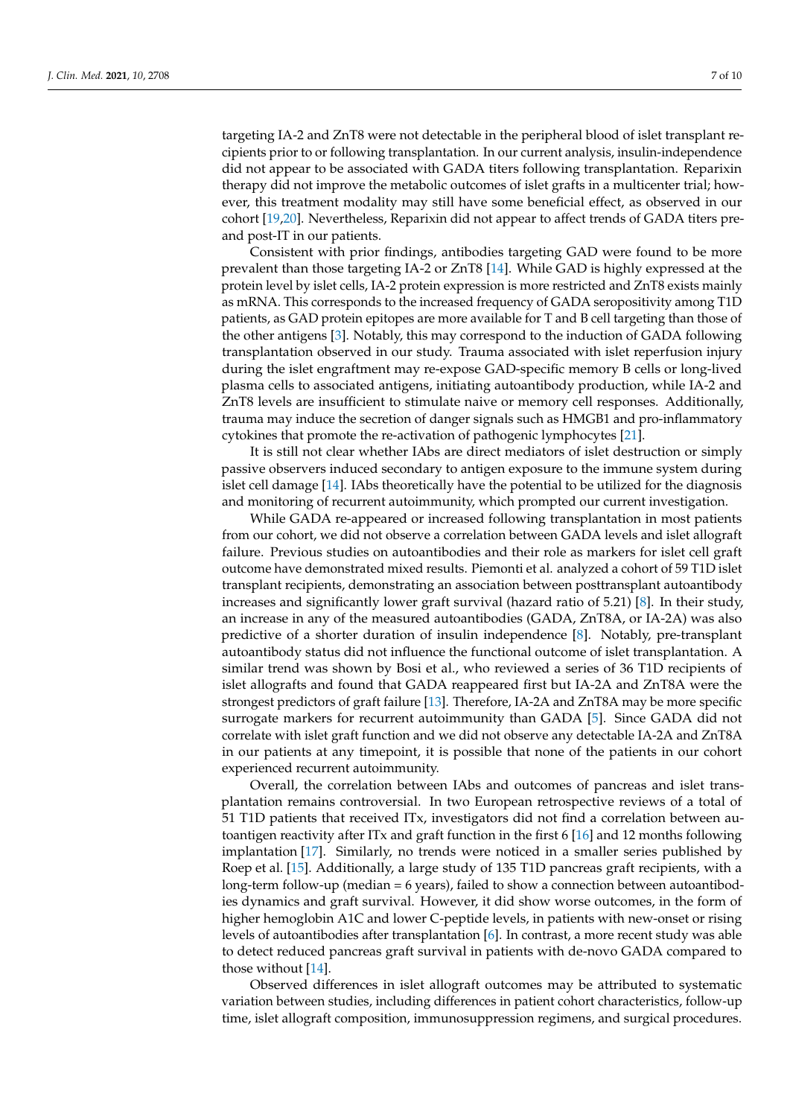targeting IA-2 and ZnT8 were not detectable in the peripheral blood of islet transplant recipients prior to or following transplantation. In our current analysis, insulin-independence did not appear to be associated with GADA titers following transplantation. Reparixin therapy did not improve the metabolic outcomes of islet grafts in a multicenter trial; however, this treatment modality may still have some beneficial effect, as observed in our cohort [\[19,](#page-9-2)[20\]](#page-9-3). Nevertheless, Reparixin did not appear to affect trends of GADA titers preand post-IT in our patients.

Consistent with prior findings, antibodies targeting GAD were found to be more prevalent than those targeting IA-2 or ZnT8 [\[14\]](#page-8-12). While GAD is highly expressed at the protein level by islet cells, IA-2 protein expression is more restricted and ZnT8 exists mainly as mRNA. This corresponds to the increased frequency of GADA seropositivity among T1D patients, as GAD protein epitopes are more available for T and B cell targeting than those of the other antigens [\[3\]](#page-8-2). Notably, this may correspond to the induction of GADA following transplantation observed in our study. Trauma associated with islet reperfusion injury during the islet engraftment may re-expose GAD-specific memory B cells or long-lived plasma cells to associated antigens, initiating autoantibody production, while IA-2 and ZnT8 levels are insufficient to stimulate naive or memory cell responses. Additionally, trauma may induce the secretion of danger signals such as HMGB1 and pro-inflammatory cytokines that promote the re-activation of pathogenic lymphocytes [\[21\]](#page-9-4).

It is still not clear whether IAbs are direct mediators of islet destruction or simply passive observers induced secondary to antigen exposure to the immune system during islet cell damage [\[14\]](#page-8-12). IAbs theoretically have the potential to be utilized for the diagnosis and monitoring of recurrent autoimmunity, which prompted our current investigation.

While GADA re-appeared or increased following transplantation in most patients from our cohort, we did not observe a correlation between GADA levels and islet allograft failure. Previous studies on autoantibodies and their role as markers for islet cell graft outcome have demonstrated mixed results. Piemonti et al. analyzed a cohort of 59 T1D islet transplant recipients, demonstrating an association between posttransplant autoantibody increases and significantly lower graft survival (hazard ratio of 5.21) [\[8\]](#page-8-7). In their study, an increase in any of the measured autoantibodies (GADA, ZnT8A, or IA-2A) was also predictive of a shorter duration of insulin independence [\[8\]](#page-8-7). Notably, pre-transplant autoantibody status did not influence the functional outcome of islet transplantation. A similar trend was shown by Bosi et al., who reviewed a series of 36 T1D recipients of islet allografts and found that GADA reappeared first but IA-2A and ZnT8A were the strongest predictors of graft failure [\[13\]](#page-8-11). Therefore, IA-2A and ZnT8A may be more specific surrogate markers for recurrent autoimmunity than GADA [\[5\]](#page-8-4). Since GADA did not correlate with islet graft function and we did not observe any detectable IA-2A and ZnT8A in our patients at any timepoint, it is possible that none of the patients in our cohort experienced recurrent autoimmunity.

Overall, the correlation between IAbs and outcomes of pancreas and islet transplantation remains controversial. In two European retrospective reviews of a total of 51 T1D patients that received ITx, investigators did not find a correlation between autoantigen reactivity after ITx and graft function in the first 6 [\[16\]](#page-8-14) and 12 months following implantation [\[17\]](#page-9-0). Similarly, no trends were noticed in a smaller series published by Roep et al. [\[15\]](#page-8-13). Additionally, a large study of 135 T1D pancreas graft recipients, with a long-term follow-up (median = 6 years), failed to show a connection between autoantibodies dynamics and graft survival. However, it did show worse outcomes, in the form of higher hemoglobin A1C and lower C-peptide levels, in patients with new-onset or rising levels of autoantibodies after transplantation [\[6\]](#page-8-5). In contrast, a more recent study was able to detect reduced pancreas graft survival in patients with de-novo GADA compared to those without [\[14\]](#page-8-12).

Observed differences in islet allograft outcomes may be attributed to systematic variation between studies, including differences in patient cohort characteristics, follow-up time, islet allograft composition, immunosuppression regimens, and surgical procedures.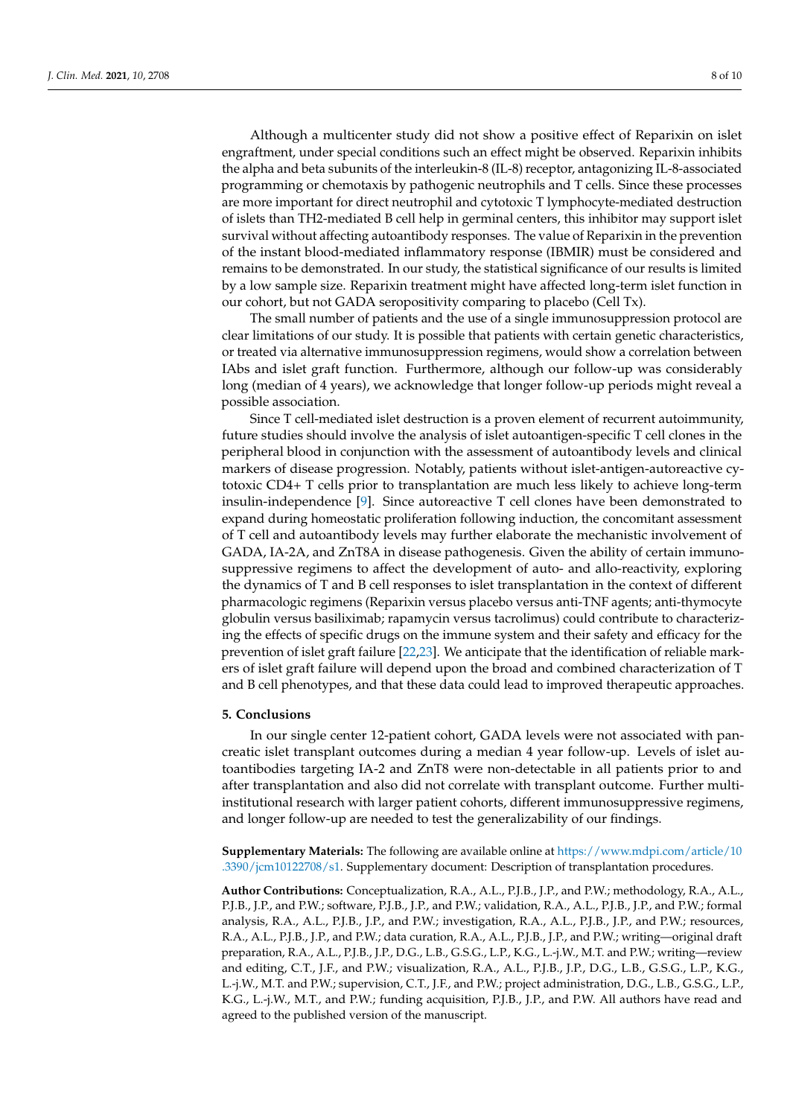Although a multicenter study did not show a positive effect of Reparixin on islet engraftment, under special conditions such an effect might be observed. Reparixin inhibits the alpha and beta subunits of the interleukin-8 (IL-8) receptor, antagonizing IL-8-associated programming or chemotaxis by pathogenic neutrophils and T cells. Since these processes are more important for direct neutrophil and cytotoxic T lymphocyte-mediated destruction of islets than TH2-mediated B cell help in germinal centers, this inhibitor may support islet survival without affecting autoantibody responses. The value of Reparixin in the prevention of the instant blood-mediated inflammatory response (IBMIR) must be considered and remains to be demonstrated. In our study, the statistical significance of our results is limited by a low sample size. Reparixin treatment might have affected long-term islet function in our cohort, but not GADA seropositivity comparing to placebo (Cell Tx).

The small number of patients and the use of a single immunosuppression protocol are clear limitations of our study. It is possible that patients with certain genetic characteristics, or treated via alternative immunosuppression regimens, would show a correlation between IAbs and islet graft function. Furthermore, although our follow-up was considerably long (median of 4 years), we acknowledge that longer follow-up periods might reveal a possible association.

Since T cell-mediated islet destruction is a proven element of recurrent autoimmunity, future studies should involve the analysis of islet autoantigen-specific T cell clones in the peripheral blood in conjunction with the assessment of autoantibody levels and clinical markers of disease progression. Notably, patients without islet-antigen-autoreactive cytotoxic CD4+ T cells prior to transplantation are much less likely to achieve long-term insulin-independence [\[9\]](#page-8-8). Since autoreactive T cell clones have been demonstrated to expand during homeostatic proliferation following induction, the concomitant assessment of T cell and autoantibody levels may further elaborate the mechanistic involvement of GADA, IA-2A, and ZnT8A in disease pathogenesis. Given the ability of certain immunosuppressive regimens to affect the development of auto- and allo-reactivity, exploring the dynamics of T and B cell responses to islet transplantation in the context of different pharmacologic regimens (Reparixin versus placebo versus anti-TNF agents; anti-thymocyte globulin versus basiliximab; rapamycin versus tacrolimus) could contribute to characterizing the effects of specific drugs on the immune system and their safety and efficacy for the prevention of islet graft failure [\[22,](#page-9-5)[23\]](#page-9-6). We anticipate that the identification of reliable markers of islet graft failure will depend upon the broad and combined characterization of T and B cell phenotypes, and that these data could lead to improved therapeutic approaches.

#### **5. Conclusions**

In our single center 12-patient cohort, GADA levels were not associated with pancreatic islet transplant outcomes during a median 4 year follow-up. Levels of islet autoantibodies targeting IA-2 and ZnT8 were non-detectable in all patients prior to and after transplantation and also did not correlate with transplant outcome. Further multiinstitutional research with larger patient cohorts, different immunosuppressive regimens, and longer follow-up are needed to test the generalizability of our findings.

**Supplementary Materials:** The following are available online at [https://www.mdpi.com/article/10](https://www.mdpi.com/article/10.3390/jcm10122708/s1) [.3390/jcm10122708/s1.](https://www.mdpi.com/article/10.3390/jcm10122708/s1) Supplementary document: Description of transplantation procedures.

**Author Contributions:** Conceptualization, R.A., A.L., P.J.B., J.P., and P.W.; methodology, R.A., A.L., P.J.B., J.P., and P.W.; software, P.J.B., J.P., and P.W.; validation, R.A., A.L., P.J.B., J.P., and P.W.; formal analysis, R.A., A.L., P.J.B., J.P., and P.W.; investigation, R.A., A.L., P.J.B., J.P., and P.W.; resources, R.A., A.L., P.J.B., J.P., and P.W.; data curation, R.A., A.L., P.J.B., J.P., and P.W.; writing—original draft preparation, R.A., A.L., P.J.B., J.P., D.G., L.B., G.S.G., L.P., K.G., L.-j.W., M.T. and P.W.; writing—review and editing, C.T., J.F., and P.W.; visualization, R.A., A.L., P.J.B., J.P., D.G., L.B., G.S.G., L.P., K.G., L.-j.W., M.T. and P.W.; supervision, C.T., J.F., and P.W.; project administration, D.G., L.B., G.S.G., L.P., K.G., L.-j.W., M.T., and P.W.; funding acquisition, P.J.B., J.P., and P.W. All authors have read and agreed to the published version of the manuscript.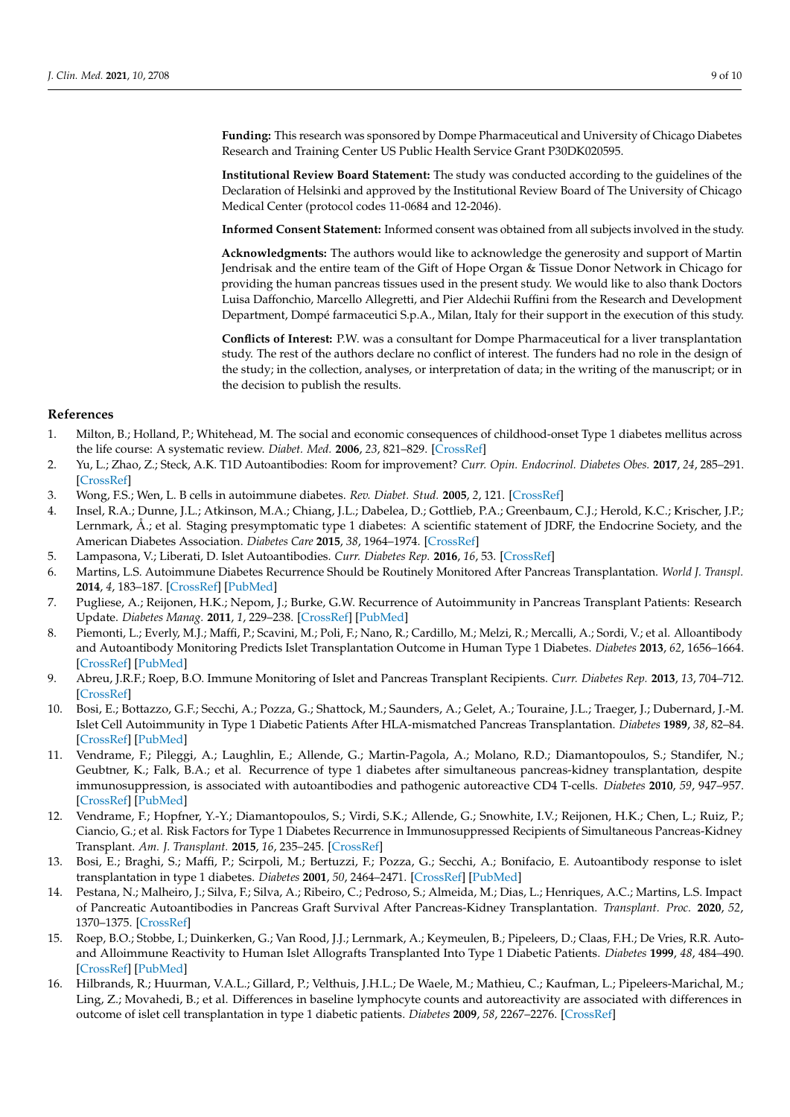**Funding:** This research was sponsored by Dompe Pharmaceutical and University of Chicago Diabetes Research and Training Center US Public Health Service Grant P30DK020595.

**Institutional Review Board Statement:** The study was conducted according to the guidelines of the Declaration of Helsinki and approved by the Institutional Review Board of The University of Chicago Medical Center (protocol codes 11-0684 and 12-2046).

**Informed Consent Statement:** Informed consent was obtained from all subjects involved in the study.

**Acknowledgments:** The authors would like to acknowledge the generosity and support of Martin Jendrisak and the entire team of the Gift of Hope Organ & Tissue Donor Network in Chicago for providing the human pancreas tissues used in the present study. We would like to also thank Doctors Luisa Daffonchio, Marcello Allegretti, and Pier Aldechii Ruffini from the Research and Development Department, Dompé farmaceutici S.p.A., Milan, Italy for their support in the execution of this study.

**Conflicts of Interest:** P.W. was a consultant for Dompe Pharmaceutical for a liver transplantation study. The rest of the authors declare no conflict of interest. The funders had no role in the design of the study; in the collection, analyses, or interpretation of data; in the writing of the manuscript; or in the decision to publish the results.

## **References**

- <span id="page-8-0"></span>1. Milton, B.; Holland, P.; Whitehead, M. The social and economic consequences of childhood-onset Type 1 diabetes mellitus across the life course: A systematic review. *Diabet. Med.* **2006**, *23*, 821–829. [\[CrossRef\]](http://doi.org/10.1111/j.1464-5491.2006.01796.x)
- <span id="page-8-1"></span>2. Yu, L.; Zhao, Z.; Steck, A.K. T1D Autoantibodies: Room for improvement? *Curr. Opin. Endocrinol. Diabetes Obes.* **2017**, *24*, 285–291. [\[CrossRef\]](http://doi.org/10.1097/MED.0000000000000348)
- <span id="page-8-2"></span>3. Wong, F.S.; Wen, L. B cells in autoimmune diabetes. *Rev. Diabet. Stud.* **2005**, *2*, 121. [\[CrossRef\]](http://doi.org/10.1900/RDS.2005.2.121)
- <span id="page-8-3"></span>4. Insel, R.A.; Dunne, J.L.; Atkinson, M.A.; Chiang, J.L.; Dabelea, D.; Gottlieb, P.A.; Greenbaum, C.J.; Herold, K.C.; Krischer, J.P.; Lernmark, Å.; et al. Staging presymptomatic type 1 diabetes: A scientific statement of JDRF, the Endocrine Society, and the American Diabetes Association. *Diabetes Care* **2015**, *38*, 1964–1974. [\[CrossRef\]](http://doi.org/10.2337/dc15-1419)
- <span id="page-8-4"></span>5. Lampasona, V.; Liberati, D. Islet Autoantibodies. *Curr. Diabetes Rep.* **2016**, *16*, 53. [\[CrossRef\]](http://doi.org/10.1007/s11892-016-0738-2)
- <span id="page-8-5"></span>6. Martins, L.S. Autoimmune Diabetes Recurrence Should be Routinely Monitored After Pancreas Transplantation. *World J. Transpl.* **2014**, *4*, 183–187. [\[CrossRef\]](http://doi.org/10.5500/wjt.v4.i3.183) [\[PubMed\]](http://www.ncbi.nlm.nih.gov/pubmed/25346891)
- <span id="page-8-6"></span>7. Pugliese, A.; Reijonen, H.K.; Nepom, J.; Burke, G.W. Recurrence of Autoimmunity in Pancreas Transplant Patients: Research Update. *Diabetes Manag.* **2011**, *1*, 229–238. [\[CrossRef\]](http://doi.org/10.2217/dmt.10.21) [\[PubMed\]](http://www.ncbi.nlm.nih.gov/pubmed/21927622)
- <span id="page-8-7"></span>8. Piemonti, L.; Everly, M.J.; Maffi, P.; Scavini, M.; Poli, F.; Nano, R.; Cardillo, M.; Melzi, R.; Mercalli, A.; Sordi, V.; et al. Alloantibody and Autoantibody Monitoring Predicts Islet Transplantation Outcome in Human Type 1 Diabetes. *Diabetes* **2013**, *62*, 1656–1664. [\[CrossRef\]](http://doi.org/10.2337/db12-1258) [\[PubMed\]](http://www.ncbi.nlm.nih.gov/pubmed/23274902)
- <span id="page-8-8"></span>9. Abreu, J.R.F.; Roep, B.O. Immune Monitoring of Islet and Pancreas Transplant Recipients. *Curr. Diabetes Rep.* **2013**, *13*, 704–712. [\[CrossRef\]](http://doi.org/10.1007/s11892-013-0399-3)
- <span id="page-8-9"></span>10. Bosi, E.; Bottazzo, G.F.; Secchi, A.; Pozza, G.; Shattock, M.; Saunders, A.; Gelet, A.; Touraine, J.L.; Traeger, J.; Dubernard, J.-M. Islet Cell Autoimmunity in Type 1 Diabetic Patients After HLA-mismatched Pancreas Transplantation. *Diabetes* **1989**, *38*, 82–84. [\[CrossRef\]](http://doi.org/10.2337/diab.38.1.S82) [\[PubMed\]](http://www.ncbi.nlm.nih.gov/pubmed/2642861)
- 11. Vendrame, F.; Pileggi, A.; Laughlin, E.; Allende, G.; Martin-Pagola, A.; Molano, R.D.; Diamantopoulos, S.; Standifer, N.; Geubtner, K.; Falk, B.A.; et al. Recurrence of type 1 diabetes after simultaneous pancreas-kidney transplantation, despite immunosuppression, is associated with autoantibodies and pathogenic autoreactive CD4 T-cells. *Diabetes* **2010**, *59*, 947–957. [\[CrossRef\]](http://doi.org/10.2337/db09-0498) [\[PubMed\]](http://www.ncbi.nlm.nih.gov/pubmed/20086230)
- <span id="page-8-10"></span>12. Vendrame, F.; Hopfner, Y.-Y.; Diamantopoulos, S.; Virdi, S.K.; Allende, G.; Snowhite, I.V.; Reijonen, H.K.; Chen, L.; Ruiz, P.; Ciancio, G.; et al. Risk Factors for Type 1 Diabetes Recurrence in Immunosuppressed Recipients of Simultaneous Pancreas-Kidney Transplant. *Am. J. Transplant.* **2015**, *16*, 235–245. [\[CrossRef\]](http://doi.org/10.1111/ajt.13426)
- <span id="page-8-11"></span>13. Bosi, E.; Braghi, S.; Maffi, P.; Scirpoli, M.; Bertuzzi, F.; Pozza, G.; Secchi, A.; Bonifacio, E. Autoantibody response to islet transplantation in type 1 diabetes. *Diabetes* **2001**, *50*, 2464–2471. [\[CrossRef\]](http://doi.org/10.2337/diabetes.50.11.2464) [\[PubMed\]](http://www.ncbi.nlm.nih.gov/pubmed/11679423)
- <span id="page-8-12"></span>14. Pestana, N.; Malheiro, J.; Silva, F.; Silva, A.; Ribeiro, C.; Pedroso, S.; Almeida, M.; Dias, L.; Henriques, A.C.; Martins, L.S. Impact of Pancreatic Autoantibodies in Pancreas Graft Survival After Pancreas-Kidney Transplantation. *Transplant. Proc.* **2020**, *52*, 1370–1375. [\[CrossRef\]](http://doi.org/10.1016/j.transproceed.2020.02.035)
- <span id="page-8-13"></span>15. Roep, B.O.; Stobbe, I.; Duinkerken, G.; Van Rood, J.J.; Lernmark, A.; Keymeulen, B.; Pipeleers, D.; Claas, F.H.; De Vries, R.R. Autoand Alloimmune Reactivity to Human Islet Allografts Transplanted Into Type 1 Diabetic Patients. *Diabetes* **1999**, *48*, 484–490. [\[CrossRef\]](http://doi.org/10.2337/diabetes.48.3.484) [\[PubMed\]](http://www.ncbi.nlm.nih.gov/pubmed/10078547)
- <span id="page-8-14"></span>16. Hilbrands, R.; Huurman, V.A.L.; Gillard, P.; Velthuis, J.H.L.; De Waele, M.; Mathieu, C.; Kaufman, L.; Pipeleers-Marichal, M.; Ling, Z.; Movahedi, B.; et al. Differences in baseline lymphocyte counts and autoreactivity are associated with differences in outcome of islet cell transplantation in type 1 diabetic patients. *Diabetes* **2009**, *58*, 2267–2276. [\[CrossRef\]](http://doi.org/10.2337/db09-0160)